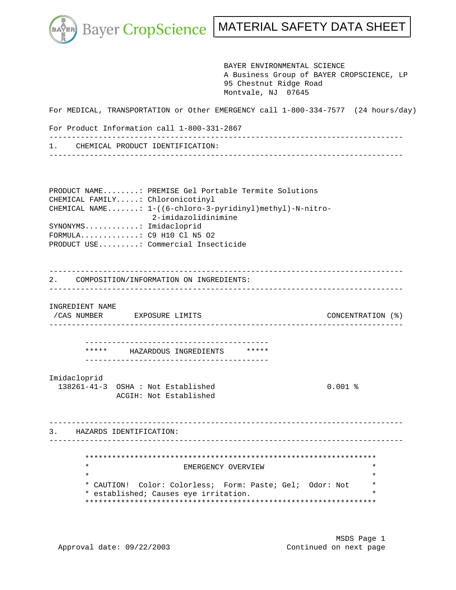k.

Bayer CropScience | MATERIAL SAFETY DATA SHEET

 BAYER ENVIRONMENTAL SCIENCE A Business Group of BAYER CROPSCIENCE, LP 95 Chestnut Ridge Road Montvale, NJ 07645 For MEDICAL, TRANSPORTATION or Other EMERGENCY call 1-800-334-7577 (24 hours/day) For Product Information call 1-800-331-2867 ------------------------------------------------------------------------------- 1. CHEMICAL PRODUCT IDENTIFICATION: ------------------------------------------------------------------------------- PRODUCT NAME........: PREMISE Gel Portable Termite Solutions CHEMICAL FAMILY.....: Chloronicotinyl CHEMICAL NAME.......: 1-((6-chloro-3-pyridinyl)methyl)-N-nitro- 2-imidazolidinimine SYNONYMS............: Imidacloprid FORMULA.............: C9 H10 Cl N5 O2 PRODUCT USE.........: Commercial Insecticide ------------------------------------------------------------------------------- 2. COMPOSITION/INFORMATION ON INGREDIENTS: ------------------------------------------------------------------------------- INGREDIENT NAME /CAS NUMBER EXPOSURE LIMITS CONCENTRATION (%) ------------------------------------------------------------------------------- ----------------------------------------- \*\*\*\*\* HAZARDOUS INGREDIENTS \*\*\*\*\* ----------------------------------------- Imidacloprid 138261-41-3 OSHA : Not Established 0.001 % ACGIH: Not Established ------------------------------------------------------------------------------- 3. HAZARDS IDENTIFICATION: ------------------------------------------------------------------------------- \*\*\*\*\*\*\*\*\*\*\*\*\*\*\*\*\*\*\*\*\*\*\*\*\*\*\*\*\*\*\*\*\*\*\*\*\*\*\*\*\*\*\*\*\*\*\*\*\*\*\*\*\*\*\*\*\*\*\*\*\*\*\*\*\* EMERGENCY OVERVIEW  $\star$  \* \* CAUTION! Color: Colorless; Form: Paste; Gel; Odor: Not \* \* established; Causes eye irritation. \* \*\*\*\*\*\*\*\*\*\*\*\*\*\*\*\*\*\*\*\*\*\*\*\*\*\*\*\*\*\*\*\*\*\*\*\*\*\*\*\*\*\*\*\*\*\*\*\*\*\*\*\*\*\*\*\*\*\*\*\*\*\*\*\*\*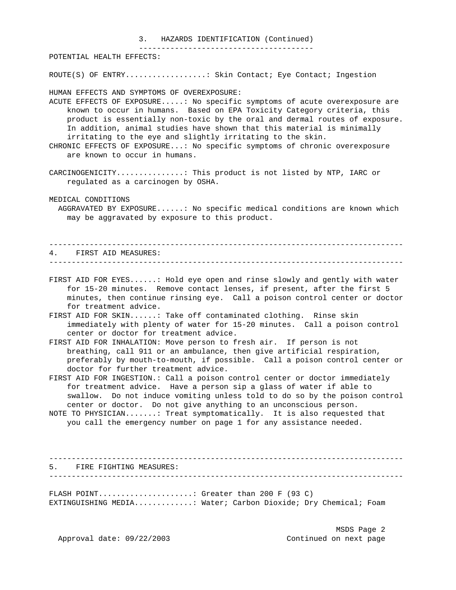## 3. HAZARDS IDENTIFICATION (Continued)

---------------------------------------

POTENTIAL HEALTH EFFECTS:

ROUTE(S) OF ENTRY..................: Skin Contact; Eye Contact; Ingestion

HUMAN EFFECTS AND SYMPTOMS OF OVEREXPOSURE:

ACUTE EFFECTS OF EXPOSURE.....: No specific symptoms of acute overexposure are known to occur in humans. Based on EPA Toxicity Category criteria, this product is essentially non-toxic by the oral and dermal routes of exposure. In addition, animal studies have shown that this material is minimally irritating to the eye and slightly irritating to the skin.

CHRONIC EFFECTS OF EXPOSURE...: No specific symptoms of chronic overexposure are known to occur in humans.

CARCINOGENICITY...............: This product is not listed by NTP, IARC or regulated as a carcinogen by OSHA.

MEDICAL CONDITIONS

 AGGRAVATED BY EXPOSURE......: No specific medical conditions are known which may be aggravated by exposure to this product.

|  | 4. FIRST AID MEASURES: |
|--|------------------------|
|  |                        |

FIRST AID FOR EYES......: Hold eye open and rinse slowly and gently with water for 15-20 minutes. Remove contact lenses, if present, after the first 5 minutes, then continue rinsing eye. Call a poison control center or doctor for treatment advice.

FIRST AID FOR SKIN......: Take off contaminated clothing. Rinse skin immediately with plenty of water for 15-20 minutes. Call a poison control center or doctor for treatment advice.

FIRST AID FOR INHALATION: Move person to fresh air. If person is not breathing, call 911 or an ambulance, then give artificial respiration, preferably by mouth-to-mouth, if possible. Call a poison control center or doctor for further treatment advice.

FIRST AID FOR INGESTION.: Call a poison control center or doctor immediately for treatment advice. Have a person sip a glass of water if able to swallow. Do not induce vomiting unless told to do so by the poison control center or doctor. Do not give anything to an unconscious person.

NOTE TO PHYSICIAN.......: Treat symptomatically. It is also requested that you call the emergency number on page 1 for any assistance needed.

------------------------------------------------------------------------------- 5. FIRE FIGHTING MEASURES: -------------------------------------------------------------------------------

FLASH POINT......................: Greater than 200 F  $(93 \text{ C})$ EXTINGUISHING MEDIA.............: Water; Carbon Dioxide; Dry Chemical; Foam

Approval date:  $09/22/2003$  Continued on next page

MSDS Page 2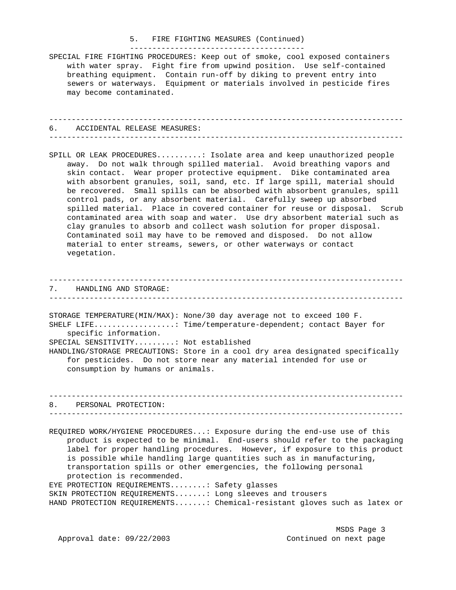## 5. FIRE FIGHTING MEASURES (Continued) ---------------------------------------

SPECIAL FIRE FIGHTING PROCEDURES: Keep out of smoke, cool exposed containers with water spray. Fight fire from upwind position. Use self-contained breathing equipment. Contain run-off by diking to prevent entry into sewers or waterways. Equipment or materials involved in pesticide fires may become contaminated.

------------------------------------------------------------------------------- 6. ACCIDENTAL RELEASE MEASURES: -------------------------------------------------------------------------------

SPILL OR LEAK PROCEDURES..........: Isolate area and keep unauthorized people away. Do not walk through spilled material. Avoid breathing vapors and skin contact. Wear proper protective equipment. Dike contaminated area with absorbent granules, soil, sand, etc. If large spill, material should be recovered. Small spills can be absorbed with absorbent granules, spill control pads, or any absorbent material. Carefully sweep up absorbed spilled material. Place in covered container for reuse or disposal. Scrub contaminated area with soap and water. Use dry absorbent material such as clay granules to absorb and collect wash solution for proper disposal. Contaminated soil may have to be removed and disposed. Do not allow material to enter streams, sewers, or other waterways or contact vegetation.

------------------------------------------------------------------------------- 7. HANDLING AND STORAGE: -------------------------------------------------------------------------------

STORAGE TEMPERATURE(MIN/MAX): None/30 day average not to exceed 100 F. SHELF LIFE..................: Time/temperature-dependent; contact Bayer for specific information.

SPECIAL SENSITIVITY.........: Not established

HANDLING/STORAGE PRECAUTIONS: Store in a cool dry area designated specifically for pesticides. Do not store near any material intended for use or consumption by humans or animals.

------------------------------------------------------------------------------- 8. PERSONAL PROTECTION: -------------------------------------------------------------------------------

REQUIRED WORK/HYGIENE PROCEDURES...: Exposure during the end-use use of this product is expected to be minimal. End-users should refer to the packaging label for proper handling procedures. However, if exposure to this product is possible while handling large quantities such as in manufacturing, transportation spills or other emergencies, the following personal protection is recommended. EYE PROTECTION REQUIREMENTS........: Safety glasses SKIN PROTECTION REQUIREMENTS.......: Long sleeves and trousers

HAND PROTECTION REQUIREMENTS.......: Chemical-resistant gloves such as latex or

Approval date:  $09/22/2003$  Continued on next page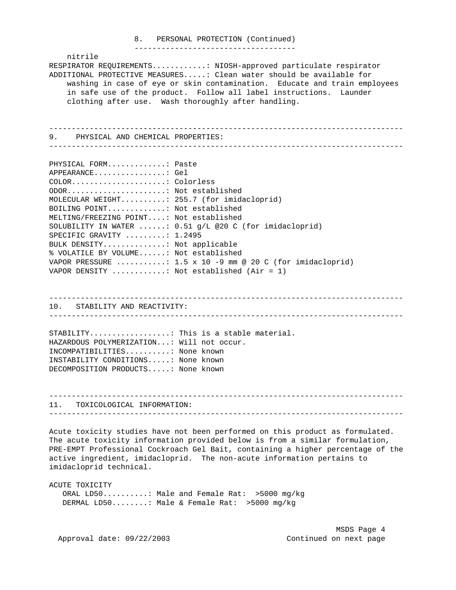## 8. PERSONAL PROTECTION (Continued) ------------------------------------

 nitrile RESPIRATOR REQUIREMENTS............: NIOSH-approved particulate respirator ADDITIONAL PROTECTIVE MEASURES.....: Clean water should be available for washing in case of eye or skin contamination. Educate and train employees in safe use of the product. Follow all label instructions. Launder clothing after use. Wash thoroughly after handling.

------------------------------------------------------------------------------- 9. PHYSICAL AND CHEMICAL PROPERTIES:

-------------------------------------------------------------------------------

| PHYSICAL FORM: Paste                       |                                                           |
|--------------------------------------------|-----------------------------------------------------------|
| APPEARANCE: Gel                            |                                                           |
| COLOR: Colorless                           |                                                           |
| ODOR Not established                       |                                                           |
| MOLECULAR WEIGHT: 255.7 (for imidacloprid) |                                                           |
| BOILING POINT: Not established             |                                                           |
| MELTING/FREEZING POINT: Not established    |                                                           |
|                                            | SOLUBILITY IN WATER : $0.51$ q/L @20 C (for imidacloprid) |
| SPECIFIC GRAVITY : 1.2495                  |                                                           |
| BULK DENSITY: Not applicable               |                                                           |
| % VOLATILE BY VOLUME: Not established      |                                                           |
|                                            | VAPOR PRESSURE : 1.5 x 10 -9 mm @ 20 C (for imidacloprid) |
| VAPOR DENSITY : Not established (Air = 1)  |                                                           |

10. STABILITY AND REACTIVITY:

-------------------------------------------------------------------------------

-------------------------------------------------------------------------------

STABILITY..................: This is a stable material. HAZARDOUS POLYMERIZATION...: Will not occur. INCOMPATIBILITIES..........: None known INSTABILITY CONDITIONS.....: None known DECOMPOSITION PRODUCTS.....: None known

------------------------------------------------------------------------------- 11. TOXICOLOGICAL INFORMATION: -------------------------------------------------------------------------------

Acute toxicity studies have not been performed on this product as formulated. The acute toxicity information provided below is from a similar formulation, PRE-EMPT Professional Cockroach Gel Bait, containing a higher percentage of the active ingredient, imidacloprid. The non-acute information pertains to imidacloprid technical.

ACUTE TOXICITY

 ORAL LD50..........: Male and Female Rat: >5000 mg/kg DERMAL LD50........: Male & Female Rat: >5000 mg/kg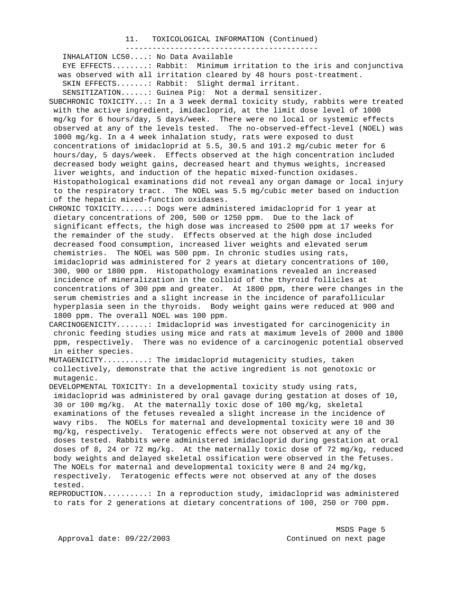#### 11. TOXICOLOGICAL INFORMATION (Continued)

 ------------------------------------------- INHALATION LC50....: No Data Available EYE EFFECTS........: Rabbit: Minimum irritation to the iris and conjunctiva was observed with all irritation cleared by 48 hours post-treatment. SKIN EFFECTS.......: Rabbit: Slight dermal irritant. SENSITIZATION......: Guinea Pig: Not a dermal sensitizer. SUBCHRONIC TOXICITY...: In a 3 week dermal toxicity study, rabbits were treated with the active ingredient, imidacloprid, at the limit dose level of 1000 mg/kg for 6 hours/day, 5 days/week. There were no local or systemic effects observed at any of the levels tested. The no-observed-effect-level (NOEL) was 1000 mg/kg. In a 4 week inhalation study, rats were exposed to dust concentrations of imidacloprid at 5.5, 30.5 and 191.2 mg/cubic meter for 6 hours/day, 5 days/week. Effects observed at the high concentration included decreased body weight gains, decreased heart and thymus weights, increased liver weights, and induction of the hepatic mixed-function oxidases. Histopathological examinations did not reveal any organ damage or local injury to the respiratory tract. The NOEL was 5.5 mg/cubic meter based on induction of the hepatic mixed-function oxidases. CHRONIC TOXICITY......: Dogs were administered imidacloprid for 1 year at dietary concentrations of 200, 500 or 1250 ppm. Due to the lack of significant effects, the high dose was increased to 2500 ppm at 17 weeks for the remainder of the study. Effects observed at the high dose included decreased food consumption, increased liver weights and elevated serum chemistries. The NOEL was 500 ppm. In chronic studies using rats, imidacloprid was administered for 2 years at dietary concentrations of 100, 300, 900 or 1800 ppm. Histopathology examinations revealed an increased incidence of mineralization in the colloid of the thyroid follicles at concentrations of 300 ppm and greater. At 1800 ppm, there were changes in the serum chemistries and a slight increase in the incidence of parafollicular hyperplasia seen in the thyroids. Body weight gains were reduced at 900 and 1800 ppm. The overall NOEL was 100 ppm. CARCINOGENICITY.......: Imidacloprid was investigated for carcinogenicity in chronic feeding studies using mice and rats at maximum levels of 2000 and 1800 ppm, respectively. There was no evidence of a carcinogenic potential observed in either species. MUTAGENICITY..........: The imidacloprid mutagenicity studies, taken collectively, demonstrate that the active ingredient is not genotoxic or mutagenic. DEVELOPMENTAL TOXICITY: In a developmental toxicity study using rats, imidacloprid was administered by oral gavage during gestation at doses of 10, 30 or 100 mg/kg. At the maternally toxic dose of 100 mg/kg, skeletal examinations of the fetuses revealed a slight increase in the incidence of wavy ribs. The NOELs for maternal and developmental toxicity were 10 and 30 mg/kg, respectively. Teratogenic effects were not observed at any of the doses tested. Rabbits were administered imidacloprid during gestation at oral doses of 8, 24 or 72 mg/kg. At the maternally toxic dose of 72 mg/kg, reduced body weights and delayed skeletal ossification were observed in the fetuses. The NOELs for maternal and developmental toxicity were 8 and 24 mg/kg, respectively. Teratogenic effects were not observed at any of the doses tested.

REPRODUCTION..........: In a reproduction study, imidacloprid was administered to rats for 2 generations at dietary concentrations of 100, 250 or 700 ppm.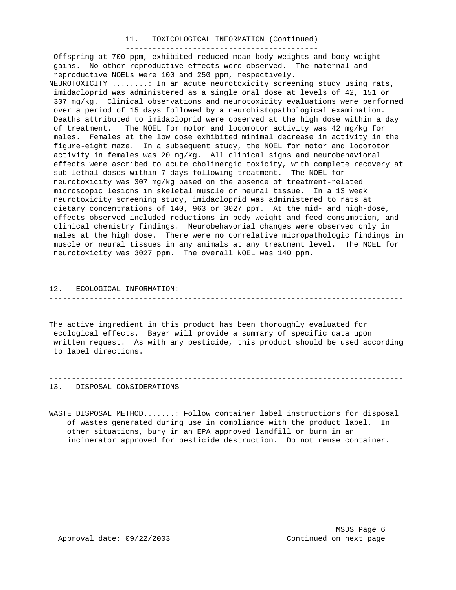# 11. TOXICOLOGICAL INFORMATION (Continued) -------------------------------------------

 Offspring at 700 ppm, exhibited reduced mean body weights and body weight gains. No other reproductive effects were observed. The maternal and reproductive NOELs were 100 and 250 ppm, respectively.

NEUROTOXICITY ........: In an acute neurotoxicity screening study using rats, imidacloprid was administered as a single oral dose at levels of 42, 151 or 307 mg/kg. Clinical observations and neurotoxicity evaluations were performed over a period of 15 days followed by a neurohistopathological examination. Deaths attributed to imidacloprid were observed at the high dose within a day of treatment. The NOEL for motor and locomotor activity was 42 mg/kg for males. Females at the low dose exhibited minimal decrease in activity in the figure-eight maze. In a subsequent study, the NOEL for motor and locomotor activity in females was 20 mg/kg. All clinical signs and neurobehavioral effects were ascribed to acute cholinergic toxicity, with complete recovery at sub-lethal doses within 7 days following treatment. The NOEL for neurotoxicity was 307 mg/kg based on the absence of treatment-related microscopic lesions in skeletal muscle or neural tissue. In a 13 week neurotoxicity screening study, imidacloprid was administered to rats at dietary concentrations of 140, 963 or 3027 ppm. At the mid- and high-dose, effects observed included reductions in body weight and feed consumption, and clinical chemistry findings. Neurobehavorial changes were observed only in males at the high dose. There were no correlative micropathologic findings in muscle or neural tissues in any animals at any treatment level. The NOEL for neurotoxicity was 3027 ppm. The overall NOEL was 140 ppm.

------------------------------------------------------------------------------- 12. ECOLOGICAL INFORMATION: -------------------------------------------------------------------------------

The active ingredient in this product has been thoroughly evaluated for ecological effects. Bayer will provide a summary of specific data upon written request. As with any pesticide, this product should be used according to label directions.

------------------------------------------------------------------------------- 13. DISPOSAL CONSIDERATIONS -------------------------------------------------------------------------------

WASTE DISPOSAL METHOD.......: Follow container label instructions for disposal of wastes generated during use in compliance with the product label. In other situations, bury in an EPA approved landfill or burn in an incinerator approved for pesticide destruction. Do not reuse container.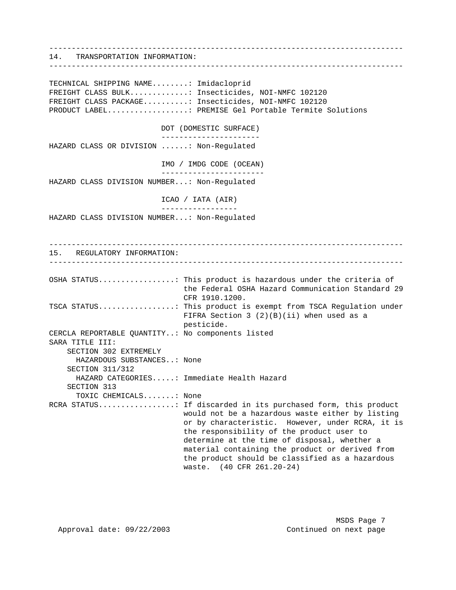------------------------------------------------------------------------------- 14. TRANSPORTATION INFORMATION: ------------------------------------------------------------------------------- TECHNICAL SHIPPING NAME........: Imidacloprid FREIGHT CLASS BULK.............: Insecticides, NOI-NMFC 102120 FREIGHT CLASS PACKAGE..........: Insecticides, NOI-NMFC 102120 PRODUCT LABEL..................: PREMISE Gel Portable Termite Solutions DOT (DOMESTIC SURFACE) ---------------------- HAZARD CLASS OR DIVISION ......: Non-Regulated IMO / IMDG CODE (OCEAN) ----------------------- HAZARD CLASS DIVISION NUMBER...: Non-Regulated ICAO / IATA (AIR) ----------------- HAZARD CLASS DIVISION NUMBER...: Non-Regulated ------------------------------------------------------------------------------- 15. REGULATORY INFORMATION: ------------------------------------------------------------------------------- OSHA STATUS.................: This product is hazardous under the criteria of the Federal OSHA Hazard Communication Standard 29 CFR 1910.1200. TSCA STATUS.................: This product is exempt from TSCA Regulation under FIFRA Section 3 (2)(B)(ii) when used as a pesticide. CERCLA REPORTABLE QUANTITY..: No components listed SARA TITLE III: SECTION 302 EXTREMELY HAZARDOUS SUBSTANCES..: None SECTION 311/312 HAZARD CATEGORIES.....: Immediate Health Hazard SECTION 313 TOXIC CHEMICALS.......: None RCRA STATUS.................: If discarded in its purchased form, this product would not be a hazardous waste either by listing or by characteristic. However, under RCRA, it is the responsibility of the product user to determine at the time of disposal, whether a material containing the product or derived from the product should be classified as a hazardous waste. (40 CFR 261.20-24)